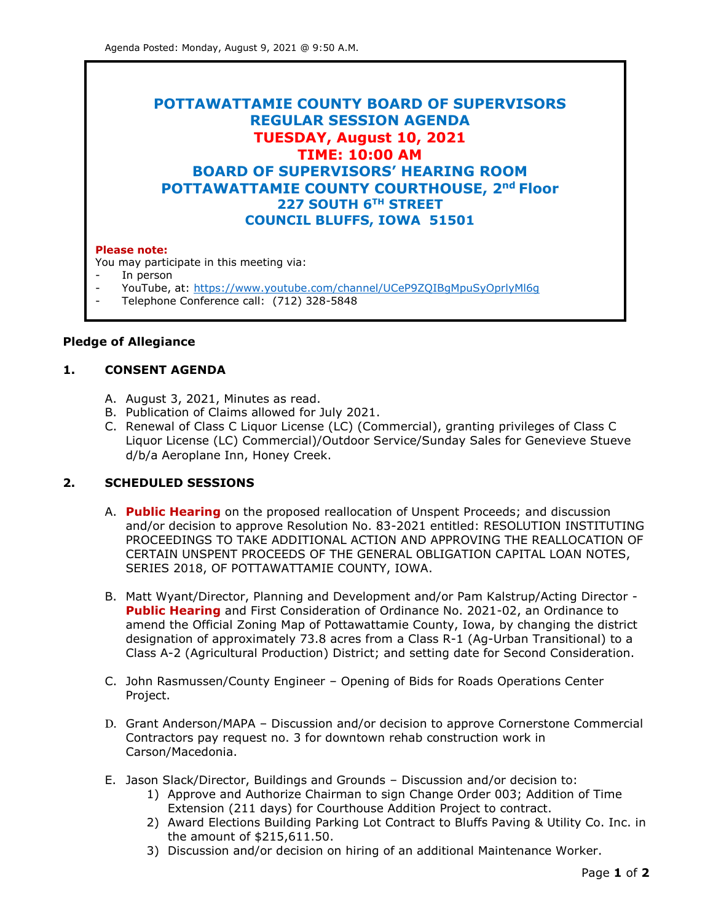# **POTTAWATTAMIE COUNTY BOARD OF SUPERVISORS REGULAR SESSION AGENDA TUESDAY, August 10, 2021 TIME: 10:00 AM BOARD OF SUPERVISORS' HEARING ROOM POTTAWATTAMIE COUNTY COURTHOUSE, 2nd Floor 227 SOUTH 6TH STREET COUNCIL BLUFFS, IOWA 51501**

#### **Please note:**

You may participate in this meeting via:

- In person
- YouTube, at: https://www.youtube.com/channel/UCeP9ZQIBgMpuSyOprlyMl6q
- Telephone Conference call: (712) 328-5848

#### **Pledge of Allegiance**

#### **1. CONSENT AGENDA**

- A. August 3, 2021, Minutes as read.
- B. Publication of Claims allowed for July 2021.
- C. Renewal of Class C Liquor License (LC) (Commercial), granting privileges of Class C Liquor License (LC) Commercial)/Outdoor Service/Sunday Sales for Genevieve Stueve d/b/a Aeroplane Inn, Honey Creek.

#### **2. SCHEDULED SESSIONS**

- A. **Public Hearing** on the proposed reallocation of Unspent Proceeds; and discussion and/or decision to approve Resolution No. 83-2021 entitled: RESOLUTION INSTITUTING PROCEEDINGS TO TAKE ADDITIONAL ACTION AND APPROVING THE REALLOCATION OF CERTAIN UNSPENT PROCEEDS OF THE GENERAL OBLIGATION CAPITAL LOAN NOTES, SERIES 2018, OF POTTAWATTAMIE COUNTY, IOWA.
- B. Matt Wyant/Director, Planning and Development and/or Pam Kalstrup/Acting Director **Public Hearing** and First Consideration of Ordinance No. 2021-02, an Ordinance to amend the Official Zoning Map of Pottawattamie County, Iowa, by changing the district designation of approximately 73.8 acres from a Class R-1 (Ag-Urban Transitional) to a Class A-2 (Agricultural Production) District; and setting date for Second Consideration.
- C. John Rasmussen/County Engineer Opening of Bids for Roads Operations Center Project.
- D. Grant Anderson/MAPA Discussion and/or decision to approve Cornerstone Commercial Contractors pay request no. 3 for downtown rehab construction work in Carson/Macedonia.
- E. Jason Slack/Director, Buildings and Grounds Discussion and/or decision to:
	- 1) Approve and Authorize Chairman to sign Change Order 003; Addition of Time Extension (211 days) for Courthouse Addition Project to contract.
	- 2) Award Elections Building Parking Lot Contract to Bluffs Paving & Utility Co. Inc. in the amount of \$215,611.50.
	- 3) Discussion and/or decision on hiring of an additional Maintenance Worker.